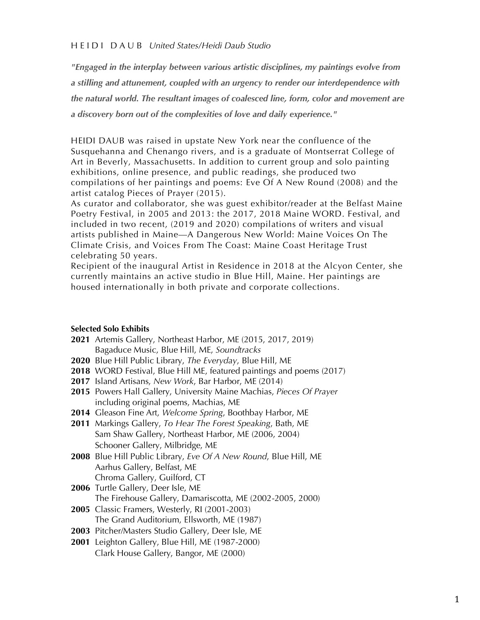### H E I D I D A U B *United States/Heidi Daub Studio*

*"Engaged in the interplay between various artistic disciplines, my paintings evolve from a stilling and attunement, coupled with an urgency to render our interdependence with the natural world. The resultant images of coalesced line, form, color and movement are a discovery born out of the complexities of love and daily experience."* 

HEIDI DAUB was raised in upstate New York near the confluence of the Susquehanna and Chenango rivers, and is a graduate of Montserrat College of Art in Beverly, Massachusetts. In addition to current group and solo painting exhibitions, online presence, and public readings, she produced two compilations of her paintings and poems: Eve Of A New Round (2008) and the artist catalog Pieces of Prayer (2015).

As curator and collaborator, she was guest exhibitor/reader at the Belfast Maine Poetry Festival, in 2005 and 2013: the 2017, 2018 Maine WORD. Festival, and included in two recent, (2019 and 2020) compilations of writers and visual artists published in Maine—A Dangerous New World: Maine Voices On The Climate Crisis, and Voices From The Coast: Maine Coast Heritage Trust celebrating 50 years.

Recipient of the inaugural Artist in Residence in 2018 at the Alcyon Center, she currently maintains an active studio in Blue Hill, Maine. Her paintings are housed internationally in both private and corporate collections.

#### **Selected Solo Exhibits**

- **2021** Artemis Gallery, Northeast Harbor, ME (2015, 2017, 2019) Bagaduce Music, Blue Hill, ME, *Soundtracks*
- **2020** Blue Hill Public Library, *The Everyday*, Blue Hill, ME
- **2018** WORD Festival, Blue Hill ME, featured paintings and poems (2017)
- **2017** Island Artisans, *New Work*, Bar Harbor, ME (2014)
- **2015** Powers Hall Gallery, University Maine Machias, *Pieces Of Prayer* including original poems, Machias, ME
- **2014** Gleason Fine Art, *Welcome Spring*, Boothbay Harbor, ME
- **2011** Markings Gallery, *To Hear The Forest Speaking*, Bath, ME Sam Shaw Gallery, Northeast Harbor, ME (2006, 2004) Schooner Gallery, Milbridge, ME
- **2008** Blue Hill Public Library, *Eve Of A New Round*, Blue Hill, ME Aarhus Gallery, Belfast, ME Chroma Gallery, Guilford, CT
- **2006** Turtle Gallery, Deer Isle, ME The Firehouse Gallery, Damariscotta, ME (2002-2005, 2000)
- **2005** Classic Framers, Westerly, RI (2001-2003) The Grand Auditorium, Ellsworth, ME (1987)
- **2003** Pitcher/Masters Studio Gallery, Deer Isle, ME
- **2001** Leighton Gallery, Blue Hill, ME (1987-2000) Clark House Gallery, Bangor, ME (2000)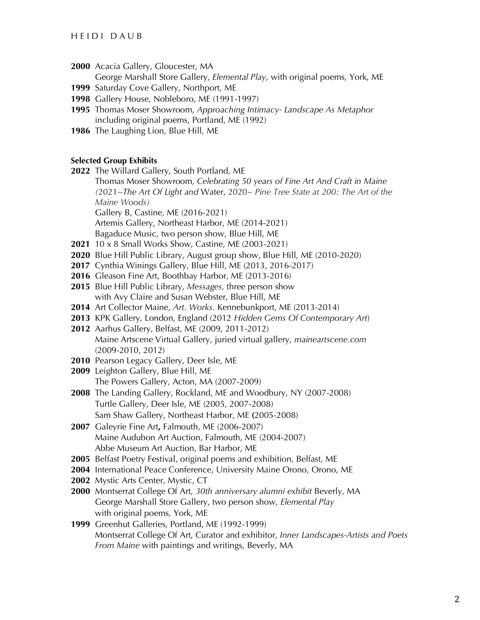# H E I D I D A U B

**2000** Acacia Gallery, Gloucester, MA

George Marshall Store Gallery, *Elemental Play*, with original poems, York, ME

- **1999** Saturday Cove Gallery, Northport, ME
- **1998** Gallery House, Nobleboro, ME (1991-1997)
- **1995** Thomas Moser Showroom, *Approaching Intimacy- Landscape As Metaphor* including original poems, Portland, ME (1992)
- **1986** The Laughing Lion, Blue Hill, ME

# **Selected Group Exhibits**

**2022** The Willard Gallery, South Portland, ME

 Thomas Moser Showroom, *Celebrating 50 years of Fine Art And Craft in Maine (*2021*~The Art Of Light and* Water, 2020~ *Pine Tree State at 200: The Art of the Maine Woods)*

Gallery B, Castine, ME (2016-2021)

- Artemis Gallery, Northeast Harbor, ME (2014-2021)
- Bagaduce Music, two person show, Blue Hill, ME
- **2021** 10 x 8 Small Works Show, Castine, ME (2003-2021)
- **2020** Blue Hill Public Library, August group show, Blue Hill, ME (2010-2020)
- **2017** Cynthia Winings Gallery, Blue Hill, ME (2013, 2016-2017)
- **2016** Gleason Fine Art, Boothbay Harbor, ME (2013-2016)
- **2015** Blue Hill Public Library, *Messages,* three person show with Avy Claire and Susan Webster, Blue Hill, ME
- **2014** Art Collector Maine, *Art. Works.* Kennebunkport, ME (2013-2014)
- **2013** KPK Gallery, London, England (2012 *Hidden Gems Of Contemporary Art*)
- **2012** Aarhus Gallery, Belfast, ME (2009, 2011-2012) Maine Artscene Virtual Gallery, juried virtual gallery, *maineartscene.com* (2009-2010, 2012)
- **2010** Pearson Legacy Gallery, Deer Isle, ME
- **2009** Leighton Gallery, Blue Hill, ME The Powers Gallery, Acton, MA (2007-2009)
- **2008** The Landing Gallery, Rockland, ME and Woodbury, NY (2007-2008) Turtle Gallery, Deer Isle, ME (2005, 2007-2008) Sam Shaw Gallery, Northeast Harbor, ME **(**2005-2008)
- **2007** Galeyrie Fine Art**,** Falmouth, ME (2006-2007) Maine Audubon Art Auction, Falmouth, ME (2004-2007) Abbe Museum Art Auction, Bar Harbor, ME
- **2005** Belfast Poetry Festival, original poems and exhibition, Belfast, ME
- **2004** International Peace Conference, University Maine Orono, Orono, ME
- **2002** Mystic Arts Center, Mystic, CT
- **2000** Montserrat College Of Art, *30th anniversary alumni exhibit* Beverly, MA George Marshall Store Gallery, two person show, *Elemental Play* with original poems, York, ME
- **1999** Greenhut Galleries, Portland, ME (1992-1999) Montserrat College Of Art, Curator and exhibitor, *Inner Landscapes-Artists and Poets From Maine* with paintings and writings, Beverly, MA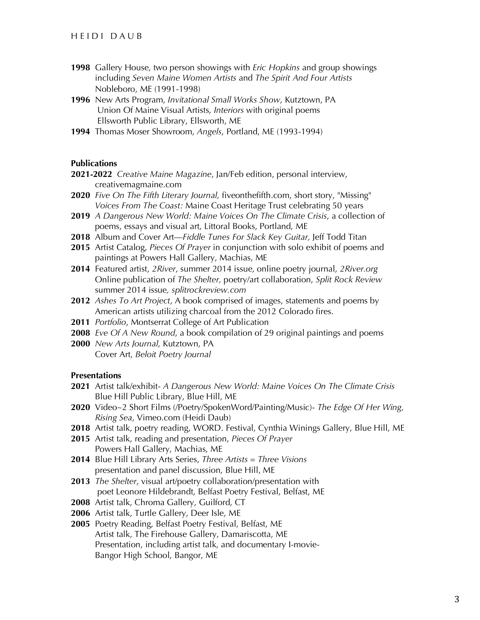- **1998** Gallery House, two person showings with *Eric Hopkins* and group showings including *Seven Maine Women Artists* and *The Spirit And Four Artists*  Nobleboro, ME (1991-1998)
- **1996** New Arts Program, *Invitational Small Works Show*, Kutztown, PA Union Of Maine Visual Artists, *Interiors* with original poems Ellsworth Public Library, Ellsworth, ME
- **1994** Thomas Moser Showroom, *Angels*, Portland, ME (1993-1994)

# **Publications**

- **2021-2022** *Creative Maine Magazine*, Jan/Feb edition, personal interview, creativemagmaine.com
- **2020** *Five On The Fifth Literary Journal,* fiveonthefifth.com, short story, "Missing"  *Voices From The Coast:* Maine Coast Heritage Trust celebrating 50 years
- **2019** *A Dangerous New World: Maine Voices On The Climate Crisis*, a collection of poems, essays and visual art, Littoral Books, Portland, ME
- **2018** Album and Cover Art—*Fiddle Tunes For Slack Key Guitar,* Jeff Todd Titan
- **2015** Artist Catalog, *Pieces Of Prayer* in conjunction with solo exhibit of poems and paintings at Powers Hall Gallery, Machias, ME
- **2014** Featured artist, *2River*, summer 2014 issue, online poetry journal, *2River.org* Online publication of *The Shelter,* poetry/art collaboration, *Split Rock Review* summer 2014 issue*, splitrockreview.com*
- **2012** *Ashes To Art Project*, A book comprised of images, statements and poems by American artists utilizing charcoal from the 2012 Colorado fires.
- **2011** *Portfolio*, Montserrat College of Art Publication
- **2008** *Eve Of A New Round*, a book compilation of 29 original paintings and poems
- **2000** *New Arts Journal*, Kutztown, PA Cover Art, *Beloit Poetry Journal*

## **Presentations**

- **2021** Artist talk/exhibit- *A Dangerous New World: Maine Voices On The Climate Crisis* **Blue Hill Public Library, Blue Hill, ME**
- **2020** Video~2 Short Films (/Poetry/SpokenWord/Painting/Music)- *The Edge Of Her Wing, Rising Sea*, Vimeo.com (Heidi Daub)
- **2018** Artist talk, poetry reading, WORD. Festival, Cynthia Winings Gallery, Blue Hill, ME
- **2015** Artist talk, reading and presentation, *Pieces Of Prayer* Powers Hall Gallery, Machias, ME
- **2014** Blue Hill Library Arts Series, *Three Artists = Three Visions* presentation and panel discussion, Blue Hill, ME
- **2013** *The Shelter*, visual art/poetry collaboration/presentation with poet Leonore Hildebrandt, Belfast Poetry Festival, Belfast, ME
- **2008** Artist talk, Chroma Gallery, Guilford, CT
- **2006** Artist talk, Turtle Gallery, Deer Isle, ME
- **2005** Poetry Reading, Belfast Poetry Festival, Belfast, ME Artist talk, The Firehouse Gallery, Damariscotta, ME Presentation, including artist talk, and documentary I-movie- Bangor High School, Bangor, ME